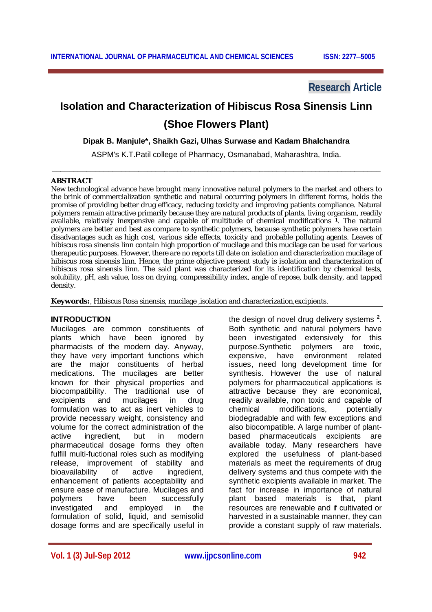**Research Article**

# **Isolation and Characterization of Hibiscus Rosa Sinensis Linn (Shoe Flowers Plant)**

#### **Dipak B. Manjule\*, Shaikh Gazi, Ulhas Surwase and Kadam Bhalchandra**

ASPM's K.T.Patil college of Pharmacy, Osmanabad, Maharashtra, India. \_\_\_\_\_\_\_\_\_\_\_\_\_\_\_\_\_\_\_\_\_\_\_\_\_\_\_\_\_\_\_\_\_\_\_\_\_\_\_\_\_\_\_\_\_\_\_\_\_\_\_\_\_\_\_\_\_\_\_\_\_\_\_\_\_\_\_\_\_\_\_\_\_\_\_\_

#### **ABSTRACT**

Ξ

New technological advance have brought many innovative natural polymers to the market and others to the brink of commercialization synthetic and natural occurring polymers in different forms, holds the promise of providing better drug efficacy, reducing toxicity and improving patients compliance. Natural polymers remain attractive primarily because they are natural products of plants, living organism, readily available, relatively inexpensive and capable of multitude of chemical modifications **<sup>1</sup>** . The natural polymers are better and best as compare to synthetic polymers, because synthetic polymers have certain disadvantages such as high cost, various side effects, toxicity and probable polluting agents. Leaves of hibiscus rosa sinensis linn contain high proportion of mucilage and this mucilage can be used for various therapeutic purposes. However, there are no reports till date on isolation and characterization mucilage of hibiscus rosa sinensis linn. Hence, the prime objective present study is isolation and characterization of hibiscus rosa sinensis linn. The said plant was characterized for its identification by chemical tests, solubility, pH, ash value, loss on drying, compressibility index, angle of repose, bulk density, and tapped density.

**Keywords:**, Hibiscus Rosa sinensis, mucilage ,isolation and characterization,excipients.

#### **INTRODUCTION**

Mucilages are common constituents of plants which have been ignored by pharmacists of the modern day. Anyway, they have very important functions which are the major constituents of herbal medications. The mucilages are better known for their physical properties and biocompatibility. The traditional use of excipients and mucilages in drug formulation was to act as inert vehicles to provide necessary weight, consistency and volume for the correct administration of the active ingredient, but in modern pharmaceutical dosage forms they often fulfill multi-fuctional roles such as modifying release, improvement of stability and bioavailability of active ingredient, enhancement of patients acceptability and ensure ease of manufacture. Mucilages and polymers have been successfully investigated and employed in the formulation of solid, liquid, and semisolid dosage forms and are specifically useful in

the design of novel drug delivery systems **<sup>2</sup>** . Both synthetic and natural polymers have been investigated extensively for this purpose.Synthetic polymers are toxic, expensive, have environment related issues, need long development time for synthesis. However the use of natural polymers for pharmaceutical applications is attractive because they are economical, readily available, non toxic and capable of chemical modifications, potentially biodegradable and with few exceptions and also biocompatible. A large number of plantbased pharmaceuticals excipients are available today. Many researchers have explored the usefulness of plant-based materials as meet the requirements of drug delivery systems and thus compete with the synthetic excipients available in market. The fact for increase in importance of natural plant based materials is that, plant resources are renewable and if cultivated or harvested in a sustainable manner, they can provide a constant supply of raw materials.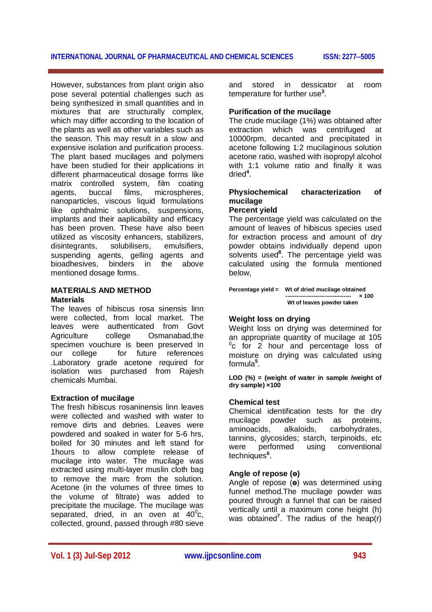Ξ However, substances from plant origin also pose several potential challenges such as being synthesized in small quantities and in mixtures that are structurally complex, which may differ according to the location of the plants as well as other variables such as the season. This may result in a slow and expensive isolation and purification process. The plant based mucilages and polymers have been studied for their applications in different pharmaceutical dosage forms like matrix controlled system, film coating agents, buccal films, microspheres, nanoparticles, viscous liquid formulations like ophthalmic solutions, suspensions, implants and their aaplicability and efficacy has been proven. These have also been utilized as viscosity enhancers, stabilizers, disintegrants, solubilisers, emulsifiers, suspending agents, gelling agents and bioadhesives, binders in the above mentioned dosage forms.

#### **MATERIALS AND METHOD Materials**

The leaves of hibiscus rosa sinensis linn were collected, from local market. The leaves were authenticated from Govt Agriculture college Osmanabad,the specimen vouchure is been preserved in<br>our college for future references our college for future references .Laboratory grade acetone required for isolation was purchased from Rajesh chemicals Mumbai.

## **Extraction of mucilage**

The fresh hibiscus rosaninensis linn leaves were collected and washed with water to remove dirts and debries. Leaves were powdered and soaked in water for 5-6 hrs, boiled for 30 minutes and left stand for 1hours to allow complete release of mucilage into water. The mucilage was extracted using multi-layer muslin cloth bag to remove the marc from the solution. Acetone (in the volumes of three times to the volume of filtrate) was added to precipitate the mucilage. The mucilage was separated, dried, in an oven at  $40^{\circ}$ c, collected, ground, passed through #80 sieve

and stored in dessicator at room temperature for further use**<sup>3</sup>** .

## **Purification of the mucilage**

The crude mucilage (1%) was obtained after extraction which was centrifuged at 10000rpm, decanted and precipitated in acetone following 1:2 mucilaginous solution acetone ratio, washed with isopropyl alcohol with 1:1 volume ratio and finally it was dried**<sup>4</sup>** .

# **Physiochemical characterization of mucilage**

## **Percent yield**

The percentage yield was calculated on the amount of leaves of hibiscus species used for extraction process and amount of dry powder obtains individually depend upon solvents used**<sup>8</sup>** . The percentage yield was calculated using the formula mentioned below,

| Percentage yield = Wt of dried mucilage obtained |              |
|--------------------------------------------------|--------------|
| -----------------------------------              | $\times 100$ |
| Wt of leaves powder taken                        |              |

## **Weight loss on drying**

Weight loss on drying was determined for an appropriate quantity of mucilage at 105  $^{0}$ c for 2 hour and percentage loss of moisture on drying was calculated using formula**<sup>5</sup>** .

**LOD (%) = (weight of water in sample /weight of dry sample) ×100** 

## **Chemical test**

Chemical identification tests for the dry mucilage powder such as proteins, aminoacids, alkaloids, carbohydrates, tannins, glycosides; starch, terpinoids, etc were performed using conventional techniques**<sup>6</sup>** .

## **Angle of repose (ө)**

Angle of repose (**ө**) was determined using funnel method.The mucilage powder was poured through a funnel that can be raised vertically until a maximum cone height (h) was obtained**<sup>7</sup>** . The radius of the heap(r)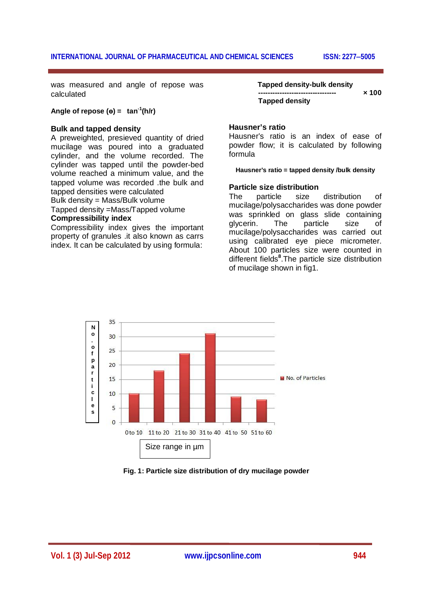was measured and angle of repose was calculated

## **Angle of repose (** $\theta$ **)** = tan<sup>-1</sup>( $\theta$ /r)

#### **Bulk and tapped density**

Ξ

A preweighted, presieved quantity of dried mucilage was poured into a graduated cylinder, and the volume recorded. The cylinder was tapped until the powder-bed volume reached a minimum value, and the tapped volume was recorded .the bulk and tapped densities were calculated Bulk density = Mass/Bulk volume Tapped density =Mass/Tapped volume

#### **Compressibility index**

Compressibility index gives the important property of granules .it also known as carrs index. It can be calculated by using formula:

**Tapped density-bulk density**  $\times$  100  **Tapped density**

#### **Hausner's ratio**

Hausner's ratio is an index of ease of powder flow; it is calculated by following formula

#### **Hausner's ratio = tapped density /bulk density**

#### **Particle size distribution**

The particle size distribution of mucilage/polysaccharides was done powder was sprinkled on glass slide containing glycerin. The particle size of mucilage/polysaccharides was carried out using calibrated eye piece micrometer. About 100 particles size were counted in different fields**<sup>8</sup>** .The particle size distribution of mucilage shown in fig1.



**Fig. 1: Particle size distribution of dry mucilage powder**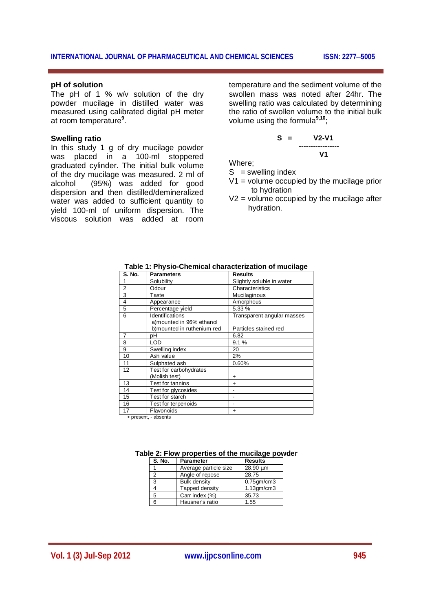#### **INTERNATIONAL JOURNAL OF PHARMACEUTICAL AND CHEMICAL SCIENCES ISSN: 22775005**

#### **pH of solution**

Ξ

The pH of 1 % w/v solution of the dry powder mucilage in distilled water was measured using calibrated digital pH meter at room temperature**<sup>9</sup>** .

#### **Swelling ratio**

In this study 1 g of dry mucilage powder was placed in a 100-ml stoppered graduated cylinder. The initial bulk volume of the dry mucilage was measured. 2 ml of alcohol (95%) was added for good dispersion and then distilled/demineralized water was added to sufficient quantity to yield 100-ml of uniform dispersion. The viscous solution was added at room

temperature and the sediment volume of the swollen mass was noted after 24hr. The swelling ratio was calculated by determining the ratio of swollen volume to the initial bulk volume using the formula**9,10**;

$$
S = \underbrace{V2-V1}_{V1}
$$

Where;

 $S =$  swelling index

- $V1$  = volume occupied by the mucilage prior to hydration
- $V2$  = volume occupied by the mucilage after hydration.

| <b>Parameters</b>                           | <b>Results</b>             |
|---------------------------------------------|----------------------------|
| Solubility                                  | Slightly soluble in water  |
| Odour                                       | Characteristics            |
| Taste                                       | Mucilaginous               |
| Appearance                                  | Amorphous                  |
| Percentage vield                            | 5.33 %                     |
| Identifications<br>a)mounted in 96% ethanol | Transparent angular masses |
|                                             | Particles stained red      |
| рH                                          | 6.82                       |
| LOD                                         | 9.1%                       |
| Swelling index                              | 20                         |
| Ash value                                   | 2%                         |
| Sulphated ash                               | 0.60%                      |
| Test for carbohydrates                      |                            |
| (Molish test)                               | ÷                          |
| Test for tannins                            | ÷                          |
| Test for glycosides                         |                            |
| Test for starch                             |                            |
| Test for terpenoids                         |                            |
| Flavonoids                                  | ÷                          |
|                                             | b)mounted in ruthenium red |

**Table 1: Physio-Chemical characterization of mucilage**

+ present, - absents

|  |  |  | Table 2: Flow properties of the mucilage powder |  |
|--|--|--|-------------------------------------------------|--|
|  |  |  |                                                 |  |

| <b>S. No.</b> | <b>Parameter</b>      | <b>Results</b>   |  |
|---------------|-----------------------|------------------|--|
|               | Average particle size | 28.90 um         |  |
| 2             | Angle of repose       | 28.75            |  |
| 3             | <b>Bulk density</b>   | $0.75$ gm/cm $3$ |  |
| 4             | Tapped density        | $1.13$ gm/cm $3$ |  |
| 5             | Carr index (%)        | 35.73            |  |
| 6             | Hausner's ratio       | 1.55             |  |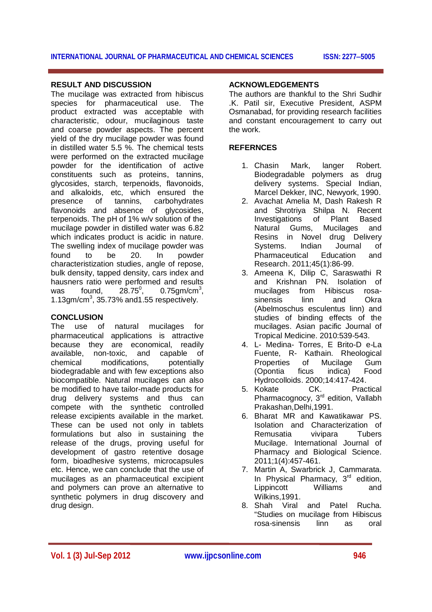#### Ξ **RESULT AND DISCUSSION**

The mucilage was extracted from hibiscus species for pharmaceutical use. The product extracted was acceptable with characteristic, odour, mucilaginous taste and coarse powder aspects. The percent yield of the dry mucilage powder was found in distilled water 5.5 %. The chemical tests were performed on the extracted mucilage powder for the identification of active constituents such as proteins, tannins, glycosides, starch, terpenoids, flavonoids, and alkaloids, etc, which ensured the presence of tannins, carbohydrates flavonoids and absence of glycosides, terpenoids. The pH of 1% w/v solution of the mucilage powder in distilled water was 6.82 which indicates product is acidic in nature. The swelling index of mucilage powder was found to be 20. In powder characteristization studies, angle of repose, bulk density, tapped density, cars index and hausners ratio were performed and results was found,  $28.75^\circ$ , ,  $0.75$ gm/cm<sup>3</sup>,  $1.13$ gm/cm $3$ , 35.73% and 1.55 respectively.

## **CONCLUSION**

The use of natural mucilages for pharmaceutical applications is attractive because they are economical, readily available, non-toxic, and capable of chemical modifications, potentially biodegradable and with few exceptions also biocompatible. Natural mucilages can also be modified to have tailor-made products for drug delivery systems and thus can compete with the synthetic controlled release excipients available in the market. These can be used not only in tablets formulations but also in sustaining the release of the drugs, proving useful for development of gastro retentive dosage form, bioadhesive systems, microcapsules etc. Hence, we can conclude that the use of mucilages as an pharmaceutical excipient and polymers can prove an alternative to synthetic polymers in drug discovery and drug design.

## **ACKNOWLEDGEMENTS**

The authors are thankful to the Shri Sudhir .K. Patil sir, Executive President, ASPM Osmanabad, for providing research facilities and constant encouragement to carry out the work.

## **REFERNCES**

- 1. Chasin Mark, langer Robert. Biodegradable polymers as drug delivery systems. Special Indian, Marcel Dekker, INC, Newyork, 1990.
- 2. Avachat Amelia M, Dash Rakesh R and Shrotriya Shilpa N. Recent Investigations of Plant Based Natural Gums, Mucilages and Resins in Novel drug Delivery Systems. Indian Journal of Pharmaceutical Education and Research. 2011;45(1):86-99.
- 3. Ameena K, Dilip C, Saraswathi R and Krishnan PN. Isolation of mucilages from Hibiscus rosasinensis linn and Okra (Abelmoschus esculentus linn) and studies of binding effects of the mucilages. Asian pacific Journal of Tropical Medicine. 2010:539-543.
- 4. L- Medina- Torres, E Brito-D e-La Fuente, R- Kathain. Rheological Properties of Mucilage Gum (Opontia ficus indica) Food Hydrocolloids. 2000;14:417-424.
- 5. Kokate CK. Practical Pharmacognocy, 3<sup>rd</sup> edition, Vallabh Prakashan,Delhi,1991.
- 6. Bharat MR and Kawatikawar PS. Isolation and Characterization of Remusatia vivipara Tubers Mucilage. International Journal of Pharmacy and Biological Science. 2011;1(4):457-461.
- 7. Martin A, Swarbrick J, Cammarata. In Physical Pharmacy,  $3<sup>rd</sup>$  edition, Lippincott Williams and Wilkins,1991.
- 8. Shah Viral and Patel Rucha. "Studies on mucilage from Hibiscus rosa-sinensis linn as oral